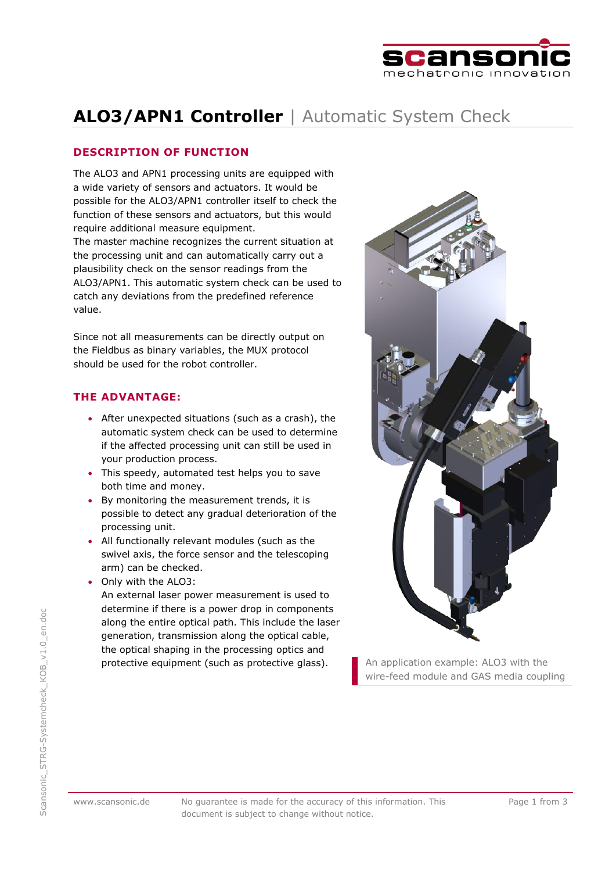

# **ALO3/APN1 Controller** | Automatic System Check

## **DESCRIPTION OF FUNCTION**

The ALO3 and APN1 processing units are equipped with a wide variety of sensors and actuators. It would be possible for the ALO3/APN1 controller itself to check the function of these sensors and actuators, but this would require additional measure equipment. The master machine recognizes the current situation at the processing unit and can automatically carry out a plausibility check on the sensor readings from the ALO3/APN1. This automatic system check can be used to catch any deviations from the predefined reference value.

Since not all measurements can be directly output on the Fieldbus as binary variables, the MUX protocol should be used for the robot controller.

## **THE ADVANTAGE:**

- After unexpected situations (such as a crash), the automatic system check can be used to determine if the affected processing unit can still be used in your production process.
- This speedy, automated test helps you to save both time and money.
- By monitoring the measurement trends, it is possible to detect any gradual deterioration of the processing unit.
- All functionally relevant modules (such as the swivel axis, the force sensor and the telescoping arm) can be checked.
- Only with the ALO3:

An external laser power measurement is used to determine if there is a power drop in components along the entire optical path. This include the laser generation, transmission along the optical cable, the optical shaping in the processing optics and protective equipment (such as protective glass). An application example: ALO3 with the



wire-feed module and GAS media coupling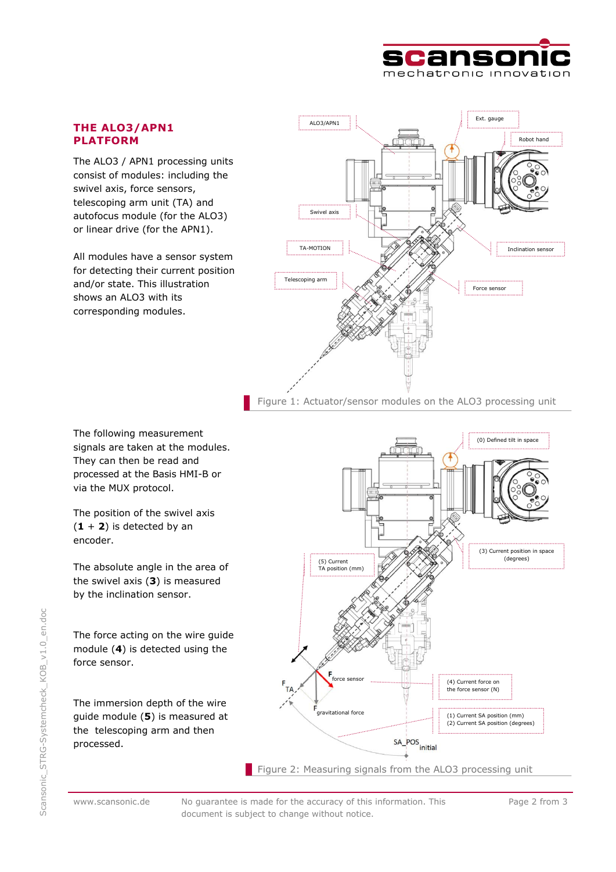

## **THE ALO3/APN1 PLATFORM**

The ALO3 / APN1 processing units consist of modules: including the swivel axis, force sensors, telescoping arm unit (TA) and autofocus module (for the ALO3) or linear drive (for the APN1).

All modules have a sensor system for detecting their current position and/or state. This illustration shows an ALO3 with its corresponding modules.



Figure 1: Actuator/sensor modules on the ALO3 processing unit

The following measurement signals are taken at the modules. They can then be read and processed at the Basis HMI-B or via the MUX protocol.

The position of the swivel axis  $(1 + 2)$  is detected by an encoder.

The absolute angle in the area of the swivel axis (**3**) is measured by the inclination sensor.

The force acting on the wire guide module (**4**) is detected using the force sensor.

The immersion depth of the wire guide module (**5**) is measured at the telescoping arm and then processed.



www.scansonic.de No guarantee is made for the accuracy of this information. This document is subject to change without notice.